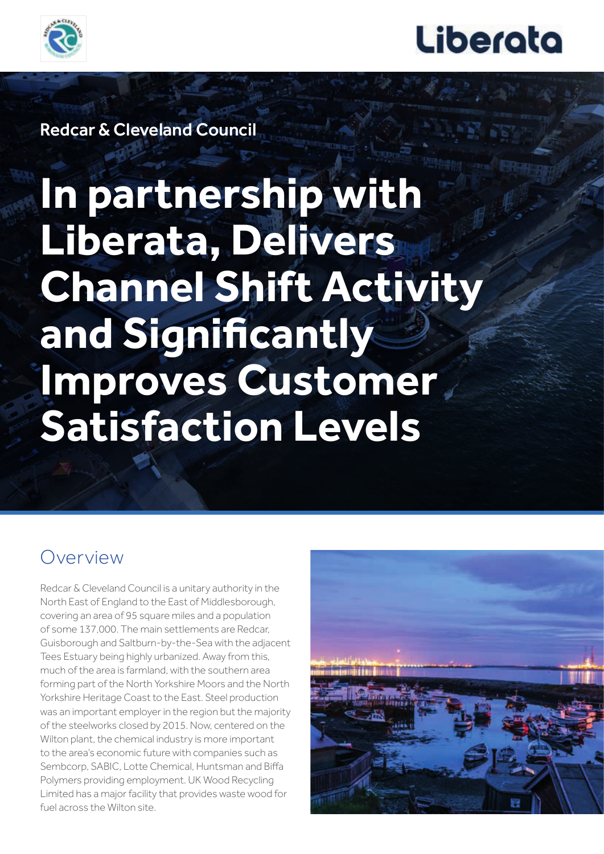



Redcar & Cleveland Council

# **In partnership with Liberata, Delivers Channel Shift Activity and Significantly Improves Customer Satisfaction Levels**

### Overview

Redcar & Cleveland Council is a unitary authority in the North East of England to the East of Middlesborough, covering an area of 95 square miles and a population of some 137,000. The main settlements are Redcar, Guisborough and Saltburn-by-the-Sea with the adjacent Tees Estuary being highly urbanized. Away from this, much of the area is farmland, with the southern area forming part of the North Yorkshire Moors and the North Yorkshire Heritage Coast to the East. Steel production was an important employer in the region but the majority of the steelworks closed by 2015. Now, centered on the Wilton plant, the chemical industry is more important to the area's economic future with companies such as Sembcorp, SABIC, Lotte Chemical, Huntsman and Biffa Polymers providing employment. UK Wood Recycling Limited has a major facility that provides waste wood for fuel across the Wilton site.